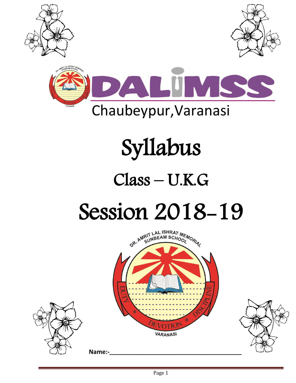





# Syllabus

## Class – U.K.G Session 2018-19

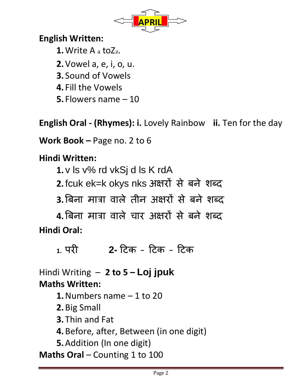

#### **English Written:**

**1.**Write A a toZz.

- **2.**Vowel a, e, i, o, u.
- **3.** Sound of Vowels
- **4.** Fill the Vowels
- **5.** Flowers name 10

**English Oral - (Rhymes): i.** Lovely Rainbow **ii.** Ten for the day

**Work Book –** Page no. 2 to 6

#### **Hindi Written:**

**1.**v ls v% rd vkSj d ls K rdA

**2.**fcuk ek=k okys nks अऺरों से बने शब्द

**3.**बबना मात्रा वाऱे तीन अऺरों से बने शब्द

**4.**बबना मात्रा वाऱे चार अऺरों से बने शब्द **Hindi Oral:**

**1.** परी **2-** टिक – टिक – टिक

Hindi Writing – **2 to 5 – Loj jpuk Maths Written:**

- **1.**Numbers name 1 to 20
- **2.**Big Small
- **3.** Thin and Fat
- **4.**Before, after, Between (in one digit)
- **5.**Addition (In one digit)

**Maths Oral** – Counting 1 to 100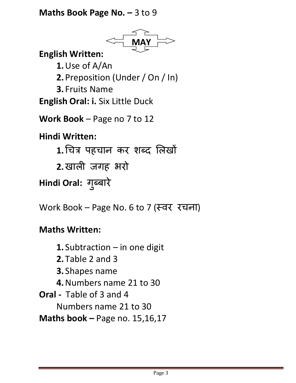#### **Maths Book Page No. – 3 to 9**



Numbers name 21 to 30

**Maths book –** Page no. 15,16,17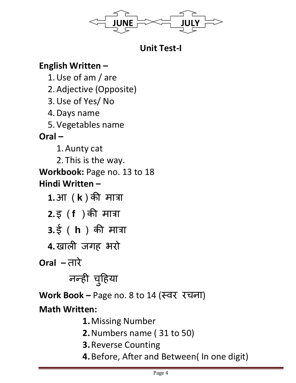

**Unit Test-I**

#### **English Written –**

1.Use of am / are 2.Adjective (Opposite) 3.Use of Yes/ No 4.Days name 5.Vegetables name **Oral –** 1.Aunty cat 2. This is the way. **Workbook:** Page no. 13 to 18 **Hindi Written – 1.**आ ( **k** ) की मात्रा **2.**इ ( **f** ) की मात्रा **3.**ई ( **h** ) की मात्रा

**4.**खाऱी जगह भरो

**Oral –** तारे

### नन्ही च ु टहया

**Work Book –** Page no. 8 to 14 (स्वर रचना)

#### **Math Written:**

- **1.**Missing Number
- **2.**Numbers name ( 31 to 50)
- **3.**Reverse Counting
- **4.**Before, After and Between( In one digit)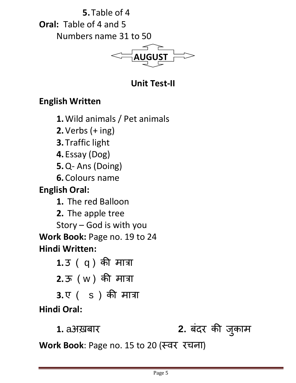**5.** Table of 4 **Oral:** Table of 4 and 5 Numbers name 31 to 50



#### **Unit Test-II**

#### **English Written**

**1.**Wild animals / Pet animals

**2.**Verbs (+ ing)

**3.** Traffic light

**4.** Essay (Dog)

**5.**Q- Ans (Doing)

**6.**Colours name

**English Oral:** 

**1.** The red Balloon

**2.** The apple tree

Story – God is with you

**Work Book:** Page no. 19 to 24 **Hindi Written:**

> **1.**उ ( q ) की मात्रा **2.**ऊ ( w ) की मात्रा

**3.**ए ( s ) की मात्रा **Hindi Oral:**

**1.** aअख़बार **2.** बंदर की ज ु काम

**Work Book**: Page no. 15 to 20 (स्वर रचना)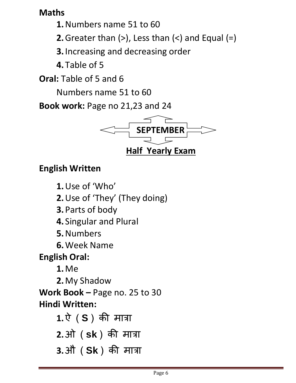#### **Maths**

**1.**Numbers name 51 to 60

**2.** Greater than  $(>)$ , Less than  $($  <) and Equal  $(=)$ 

**3.**Increasing and decreasing order

**4.** Table of 5

**Oral:** Table of 5 and 6

Numbers name 51 to 60

**Book work:** Page no 21,23 and 24



#### **English Written**

**1.**Use of 'Who'

**2.**Use of 'They' (They doing)

**3.**Parts of body

**4.** Singular and Plural

**5.**Numbers

**6.**Week Name

**English Oral:** 

**1.**Me

**2.**My Shadow **Work Book –** Page no. 25 to 30 **Hindi Written:**

> **1.**ऐ ( **S** ) की मात्रा **2.**ओ ( **sk** ) की मात्रा **3.**औ ( **Sk** ) की मात्रा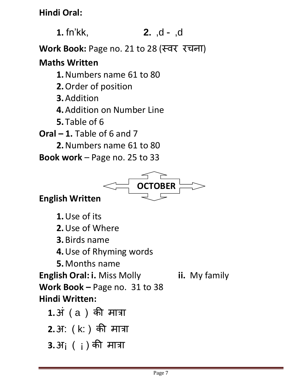**Hindi Oral:**

**1.** fn'kk, **2.** ,d - ,d

**Work Book:** Page no. 21 to 28 (स्वर रचना)

#### **Maths Written**

**1.**Numbers name 61 to 80

**2.**Order of position

- **3.**Addition
- **4.**Addition on Number Line
- **5.** Table of 6

**Oral – 1.** Table of 6 and 7

**2.**Numbers name 61 to 80

**Book work** – Page no. 25 to 33



#### **English Written**

**1.**Use of its

**2.**Use of Where

**3.**Birds name

**4.**Use of Rhyming words

**5.**Months name

**English Oral: i.** Miss Molly **ii.** My family **Work Book –** Page no.31 to 38 **Hindi Written:**

**1.**अं ( a ) की मात्रा **2.**अ: ( k: ) की मात्रा **3.**अ¡ ( ¡ ) की मात्रा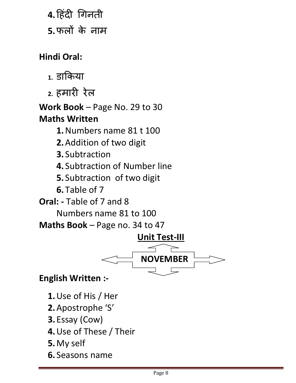**4.**टहंदी चगनती

**5.**फऱों के नाम

**Hindi Oral:**

- 1. डाकिया
- **2.** हमारी रेऱ

**Work Book** – Page No. 29 to 30 **Maths Written**

**1.**Numbers name 81 t 100

- **2.**Addition of two digit
- **3.** Subtraction
- **4.** Subtraction of Number line
- **5.** Subtraction of two digit
- **6.** Table of 7

**Oral: -** Table of 7 and 8

Numbers name 81 to 100

**Maths Book** – Page no. 34 to 47



**English Written :-**

- **1.**Use of His / Her
- **2.**Apostrophe 'S'
- **3.** Essay (Cow)
- **4.**Use of These / Their
- **5.**My self
- **6.** Seasons name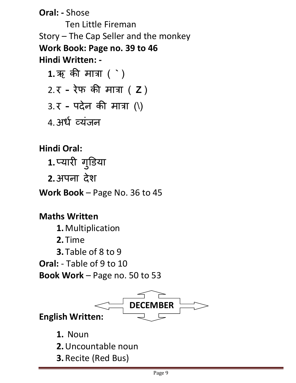**Oral: -** Shose

Ten Little Fireman Story – The Cap Seller and the monkey **Work Book: Page no. 39 to 46 Hindi Written: -**

**1.**ऋ की मात्रा ( **`** ) 2. र **–** रेफ की मात्रा ( **Z** ) 3. र **–** पदेन की मात्रा (\) 4.अर्ध व्यंजन

**Hindi Oral:**

1.प्यारी गुडिया

**2.**अपना देश

**Work Book** – Page No. 36 to 45

**Maths Written**

**1.**Multiplication

**2.** Time

**3.** Table of 8 to 9

**Oral:** - Table of 9 to 10

**Book Work** – Page no. 50 to 53



**1.** Noun

- **2.**Uncountable noun
- **3.**Recite (Red Bus)